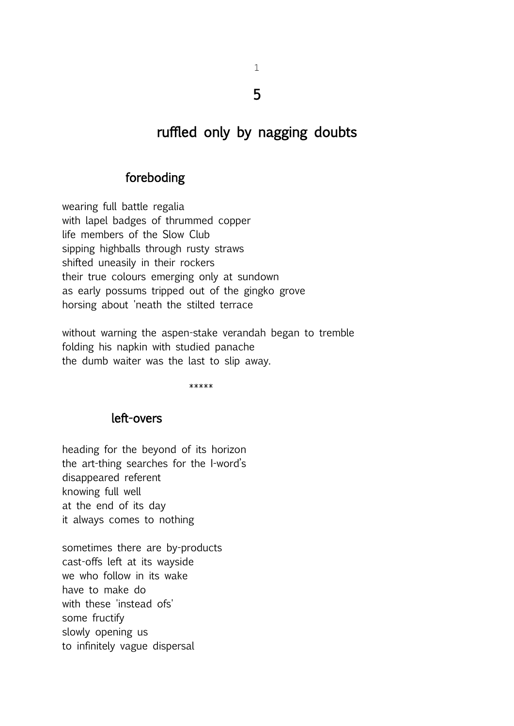1

5

# ruffled only by nagging doubts

# foreboding

wearing full battle regalia with lapel badges of thrummed copper life members of the Slow Club sipping highballs through rusty straws shifted uneasily in their rockers their true colours emerging only at sundown as early possums tripped out of the gingko grove horsing about 'neath the stilted terrace

without warning the aspen-stake verandah began to tremble folding his napkin with studied panache the dumb waiter was the last to slip away.

 $*****$ 

#### left-overs

heading for the beyond of its horizon the art-thing searches for the I-word's disappeared referent knowing full well at the end of its day it always comes to nothing

sometimes there are by-products cast-offs left at its wayside we who follow in its wake have to make do with these 'instead ofs' some fructify slowly opening us to infinitely vague dispersal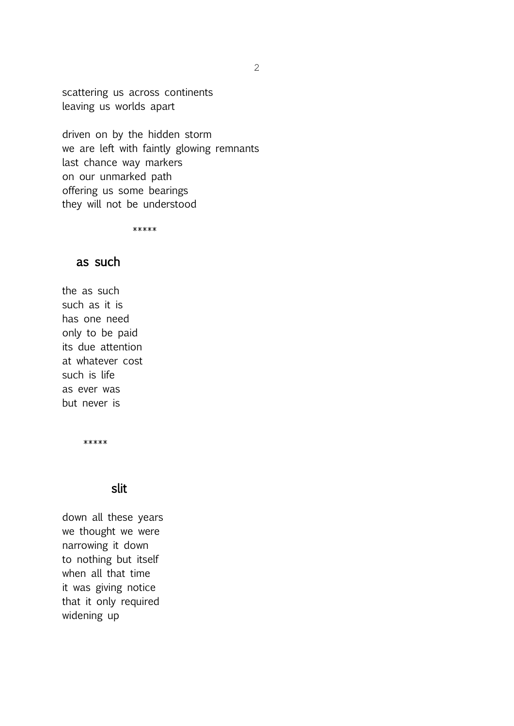scattering us across continents leaving us worlds apart

driven on by the hidden storm we are left with faintly glowing remnants last chance way markers on our unmarked path offering us some bearings they will not be understood

\*\*\*\*\*

## as such

the as such such as it is has one need only to be paid its due attention at whatever cost such is life as ever was but never is

\*\*\*\*\*

#### slit

down all these years we thought we were narrowing it down to nothing but itself when all that time it was giving notice that it only required widening up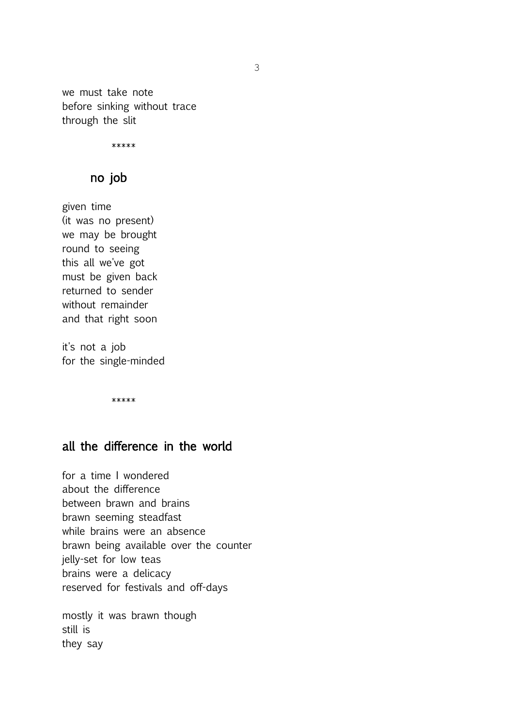we must take note before sinking without trace through the slit

\*\*\*\*\*

# no job

given time (it was no present) we may be brought round to seeing this all we've got must be given back returned to sender without remainder and that right soon

it's not a job for the single-minded

\*\*\*\*\*

# all the difference in the world

for a time I wondered about the difference between brawn and brains brawn seeming steadfast while brains were an absence brawn being available over the counter jelly-set for low teas brains were a delicacy reserved for festivals and off-days

mostly it was brawn though still is they say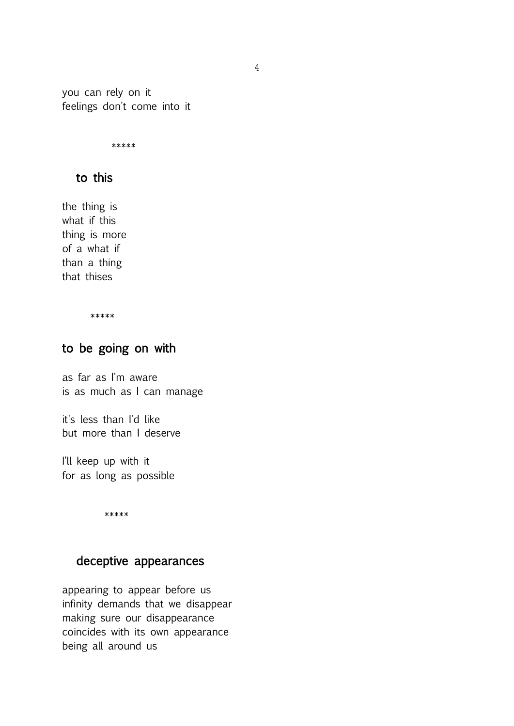you can rely on it feelings don't come into it

\*\*\*\*\*

# to this

the thing is what if this thing is more of a what if than a thing that thises

\*\*\*\*\*

# to be going on with

as far as I'm aware is as much as I can manage

it's less than I'd like but more than I deserve

I'll keep up with it for as long as possible

\*\*\*\*\*

# deceptive appearances

appearing to appear before us infinity demands that we disappear making sure our disappearance coincides with its own appearance being all around us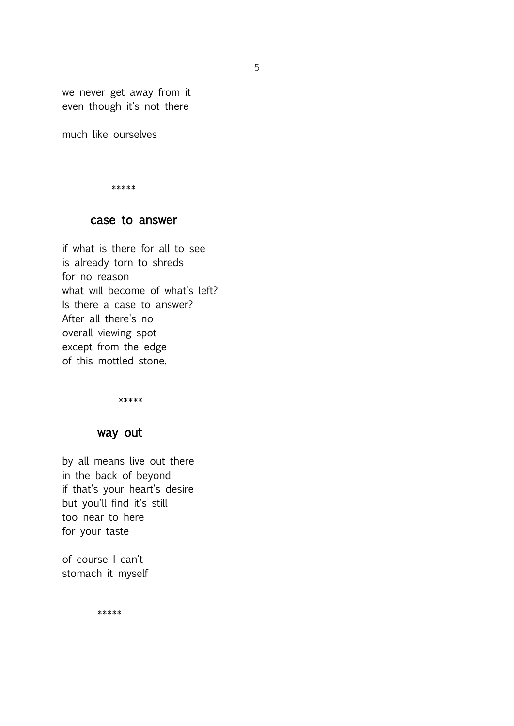we never get away from it even though it's not there

much like ourselves

\*\*\*\*\*

#### case to answer

if what is there for all to see is already torn to shreds for no reason what will become of what's left? Is there a case to answer? After all there's no overall viewing spot except from the edge of this mottled stone.

\*\*\*\*\*

# way out

by all means live out there in the back of beyond if that's your heart's desire but you'll find it's still too near to here for your taste

of course I can't stomach it myself

\*\*\*\*\*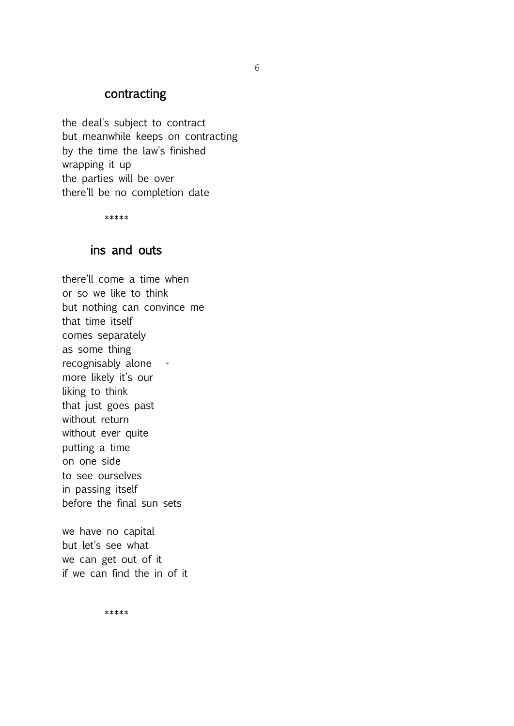## contracting

the deal's subject to contract but meanwhile keeps on contracting by the time the law's finished wrapping it up the parties will be over there'll be no completion date

\*\*\*\*\*

#### ins and outs

there'll come a time when or so we like to think but nothing can convince me that time itself comes separately as some thing recognisably alone more likely it's our liking to think that just goes past without return without ever quite putting a time on one side to see ourselves in passing itself before the final sun sets

we have no capital but let's see what we can get out of it if we can find the in of it

\*\*\*\*\*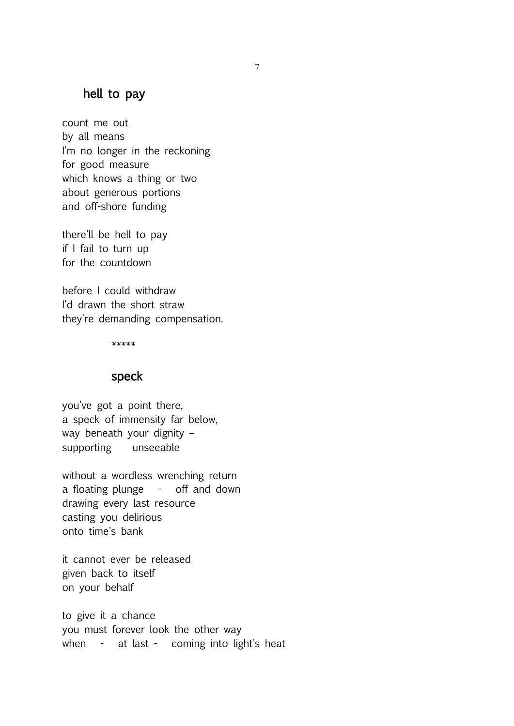# hell to pay

count me out by all means I'm no longer in the reckoning for good measure which knows a thing or two about generous portions and off-shore funding

there'll be hell to pay if I fail to turn up for the countdown

before I could withdraw I'd drawn the short straw they're demanding compensation.

\*\*\*\*\*

## speck

you've got a point there, a speck of immensity far below, way beneath your dignity – supporting unseeable

without a wordless wrenching return a floating plunge - off and down drawing every last resource casting you delirious onto time's bank

it cannot ever be released given back to itself on your behalf

to give it a chance you must forever look the other way when - at last - coming into light's heat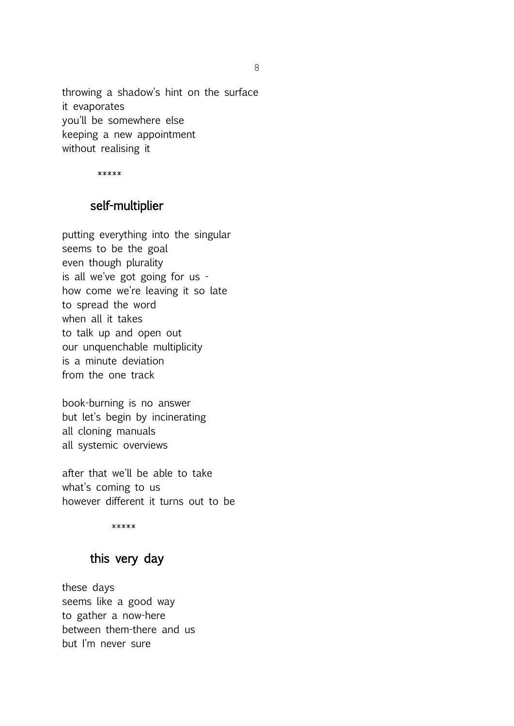throwing a shadow's hint on the surface it evaporates you'll be somewhere else keeping a new appointment without realising it

\*\*\*\*\*

# self-multiplier

putting everything into the singular seems to be the goal even though plurality is all we've got going for us how come we're leaving it so late to spread the word when all it takes to talk up and open out our unquenchable multiplicity is a minute deviation from the one track

book-burning is no answer but let's begin by incinerating all cloning manuals all systemic overviews

after that we'll be able to take what's coming to us however different it turns out to be

\*\*\*\*\*

# this very day

these days seems like a good way to gather a now-here between them-there and us but I'm never sure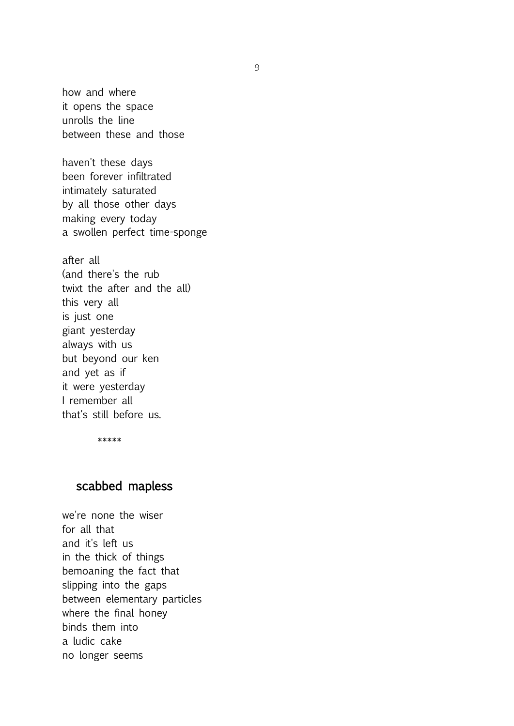how and where it opens the space unrolls the line between these and those

haven't these days been forever infiltrated intimately saturated by all those other days making every today a swollen perfect time-sponge

after all (and there's the rub twixt the after and the all) this very all is just one giant yesterday always with us but beyond our ken and yet as if it were yesterday I remember all that's still before us.

\*\*\*\*\*

#### scabbed mapless

we're none the wiser for all that and it's left us in the thick of things bemoaning the fact that slipping into the gaps between elementary particles where the final honey binds them into a ludic cake no longer seems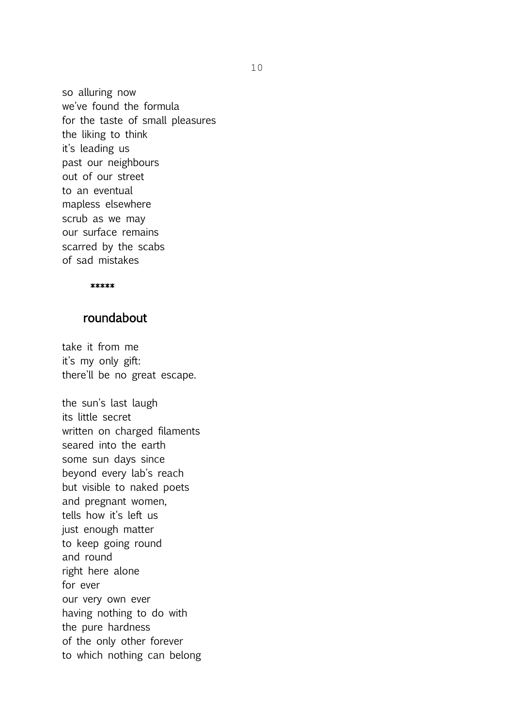so alluring now we've found the formula for the taste of small pleasures the liking to think it's leading us past our neighbours out of our street to an eventual mapless elsewhere scrub as we may our surface remains scarred by the scabs of sad mistakes

#### \*\*\*\*\*

### roundabout

take it from me it's my only gift: there'll be no great escape.

the sun's last laugh its little secret written on charged filaments seared into the earth some sun days since beyond every lab's reach but visible to naked poets and pregnant women, tells how it's left us just enough matter to keep going round and round right here alone for ever our very own ever having nothing to do with the pure hardness of the only other forever to which nothing can belong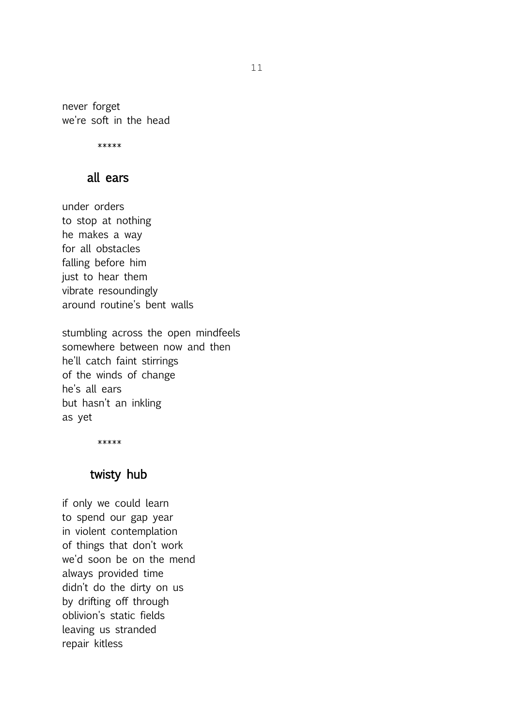never forget we're soft in the head

\*\*\*\*\*

### all ears

under orders to stop at nothing he makes a way for all obstacles falling before him just to hear them vibrate resoundingly around routine's bent walls

stumbling across the open mindfeels somewhere between now and then he'll catch faint stirrings of the winds of change he's all ears but hasn't an inkling as yet

\*\*\*\*\*

# twisty hub

if only we could learn to spend our gap year in violent contemplation of things that don't work we'd soon be on the mend always provided time didn't do the dirty on us by drifting off through oblivion's static fields leaving us stranded repair kitless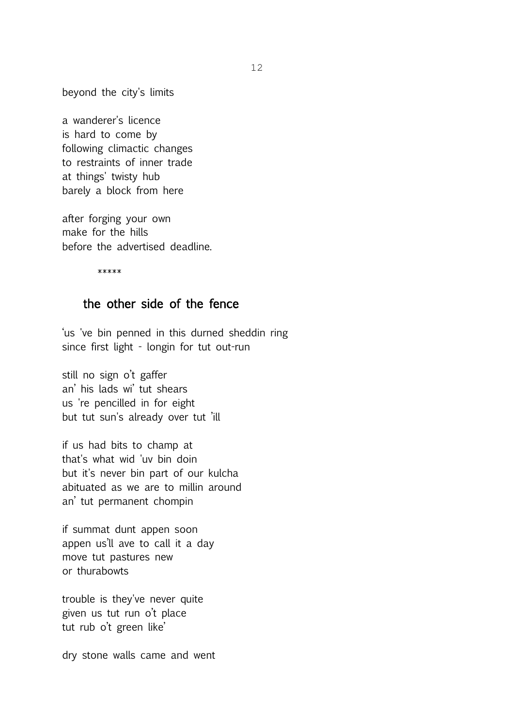beyond the city's limits

a wanderer's licence is hard to come by following climactic changes to restraints of inner trade at things' twisty hub barely a block from here

after forging your own make for the hills before the advertised deadline.

\*\*\*\*\*

#### the other side of the fence

'us 've bin penned in this durned sheddin ring since first light - longin for tut out-run

still no sign o't gaffer an' his lads wi' tut shears us 're pencilled in for eight but tut sun's already over tut 'ill

if us had bits to champ at that's what wid 'uv bin doin but it's never bin part of our kulcha abituated as we are to millin around an' tut permanent chompin

if summat dunt appen soon appen us'll ave to call it a day move tut pastures new or thurabowts

trouble is they've never quite given us tut run o't place tut rub o't green like'

dry stone walls came and went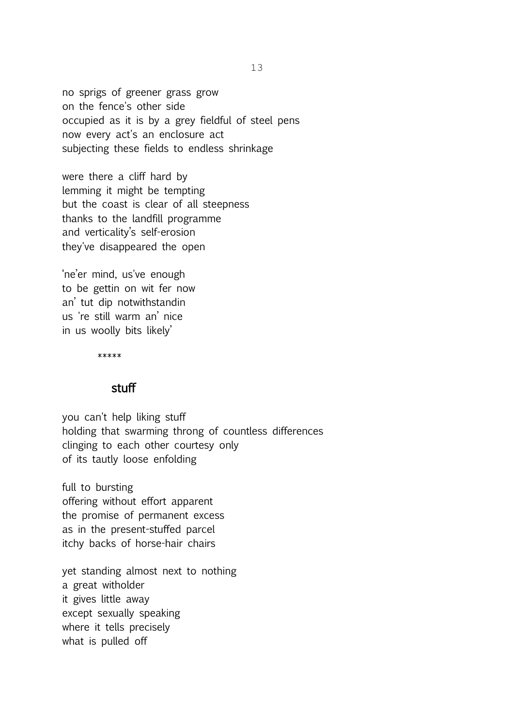no sprigs of greener grass grow on the fence's other side occupied as it is by a grey fieldful of steel pens now every act's an enclosure act subjecting these fields to endless shrinkage

were there a cliff hard by lemming it might be tempting but the coast is clear of all steepness thanks to the landfill programme and verticality's self-erosion they've disappeared the open

'ne'er mind, us've enough to be gettin on wit fer now an' tut dip notwithstandin us 're still warm an' nice in us woolly bits likely'

\*\*\*\*\*

#### stuff

you can't help liking stuff holding that swarming throng of countless differences clinging to each other courtesy only of its tautly loose enfolding

full to bursting offering without effort apparent the promise of permanent excess as in the present-stuffed parcel itchy backs of horse-hair chairs

yet standing almost next to nothing a great witholder it gives little away except sexually speaking where it tells precisely what is pulled off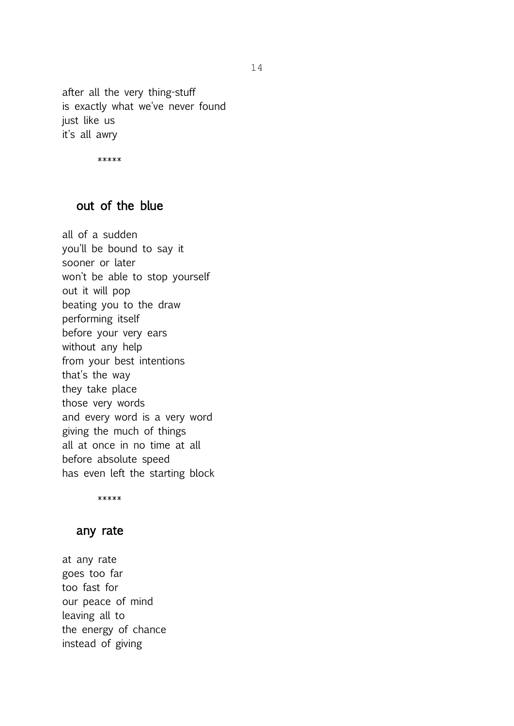after all the very thing-stuff is exactly what we've never found just like us it's all awry

\*\*\*\*\*

# out of the blue

all of a sudden you'll be bound to say it sooner or later won't be able to stop yourself out it will pop beating you to the draw performing itself before your very ears without any help from your best intentions that's the way they take place those very words and every word is a very word giving the much of things all at once in no time at all before absolute speed has even left the starting block

\*\*\*\*\*

#### any rate

at any rate goes too far too fast for our peace of mind leaving all to the energy of chance instead of giving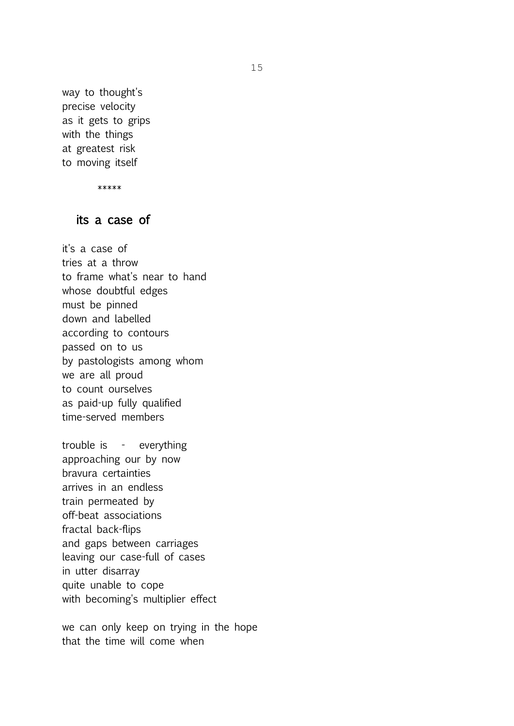way to thought's precise velocity as it gets to grips with the things at greatest risk to moving itself

\*\*\*\*\*

#### its a case of

it's a case of tries at a throw to frame what's near to hand whose doubtful edges must be pinned down and labelled according to contours passed on to us by pastologists among whom we are all proud to count ourselves as paid-up fully qualified time-served members

trouble is - everything approaching our by now bravura certainties arrives in an endless train permeated by off-beat associations fractal back-flips and gaps between carriages leaving our case-full of cases in utter disarray quite unable to cope with becoming's multiplier effect

we can only keep on trying in the hope that the time will come when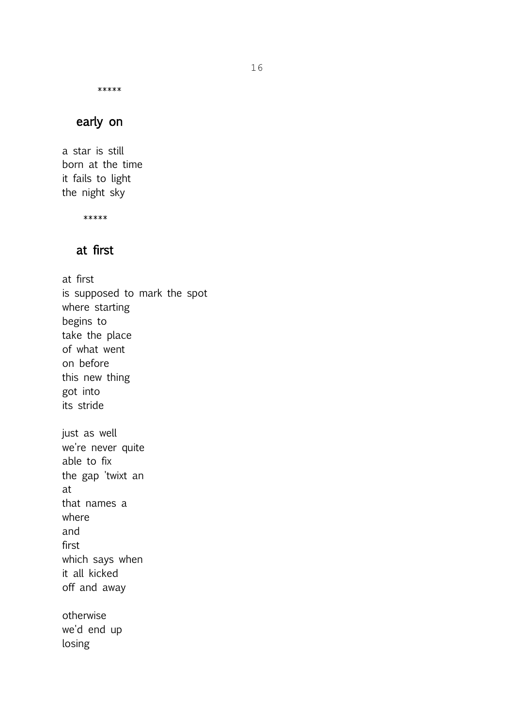\*\*\*\*\*

# early on

a star is still born at the time it fails to light the night sky

\*\*\*\*\*

## at first

at first is supposed to mark the spot where starting begins to take the place of what went on before this new thing got into its stride just as well we're never quite able to fix the gap 'twixt an at that names a where and first which says when it all kicked off and away otherwise we'd end up losing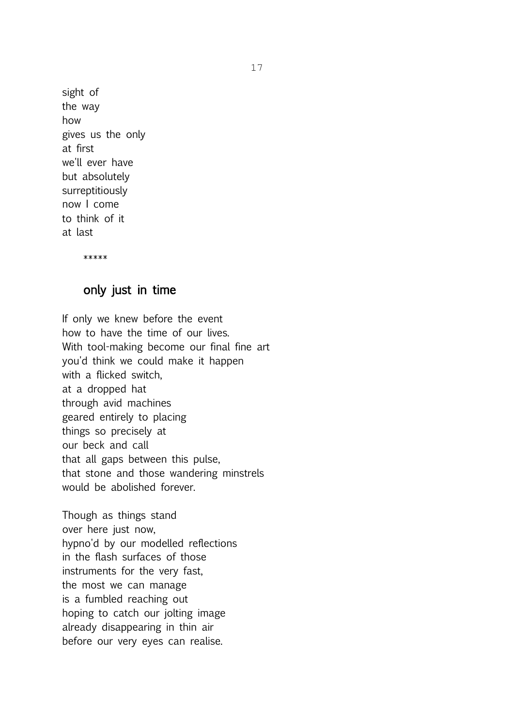sight of the way how gives us the only at first we'll ever have but absolutely surreptitiously now I come to think of it at last

\*\*\*\*\*

# only just in time

If only we knew before the event how to have the time of our lives. With tool-making become our final fine art you'd think we could make it happen with a flicked switch, at a dropped hat through avid machines geared entirely to placing things so precisely at our beck and call that all gaps between this pulse, that stone and those wandering minstrels would be abolished forever

Though as things stand over here just now, hypno'd by our modelled reflections in the flash surfaces of those instruments for the very fast, the most we can manage is a fumbled reaching out hoping to catch our jolting image already disappearing in thin air before our very eyes can realise.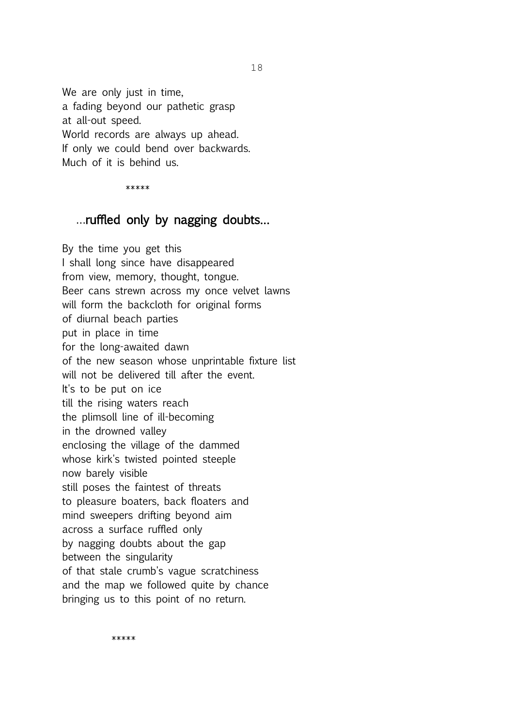We are only just in time, a fading beyond our pathetic grasp at all-out speed. World records are always up ahead. If only we could bend over backwards. Much of it is behind us.

#### \*\*\*\*\*

### …ruffled only by nagging doubts…

By the time you get this I shall long since have disappeared from view, memory, thought, tongue. Beer cans strewn across my once velvet lawns will form the backcloth for original forms of diurnal beach parties put in place in time for the long-awaited dawn of the new season whose unprintable fixture list will not be delivered till after the event. It's to be put on ice till the rising waters reach the plimsoll line of ill-becoming in the drowned valley enclosing the village of the dammed whose kirk's twisted pointed steeple now barely visible still poses the faintest of threats to pleasure boaters, back floaters and mind sweepers drifting beyond aim across a surface ruffled only by nagging doubts about the gap between the singularity of that stale crumb's vague scratchiness and the map we followed quite by chance bringing us to this point of no return.

\*\*\*\*\*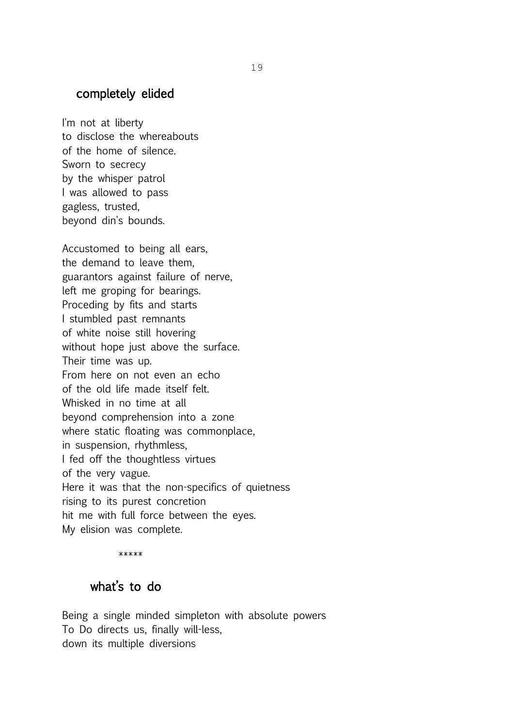# completely elided

I'm not at liberty to disclose the whereabouts of the home of silence. Sworn to secrecy by the whisper patrol I was allowed to pass gagless, trusted, beyond din's bounds.

Accustomed to being all ears, the demand to leave them, guarantors against failure of nerve, left me groping for bearings. Proceding by fits and starts I stumbled past remnants of white noise still hovering without hope just above the surface. Their time was up. From here on not even an echo of the old life made itself felt. Whisked in no time at all beyond comprehension into a zone where static floating was commonplace, in suspension, rhythmless, I fed off the thoughtless virtues of the very vague. Here it was that the non-specifics of quietness rising to its purest concretion hit me with full force between the eyes. My elision was complete.

\*\*\*\*\*

# what's to do

Being a single minded simpleton with absolute powers To Do directs us, finally will-less, down its multiple diversions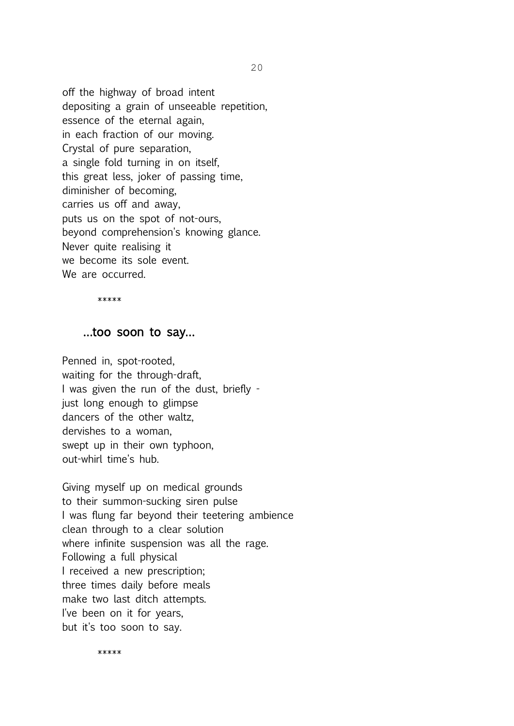off the highway of broad intent depositing a grain of unseeable repetition, essence of the eternal again, in each fraction of our moving. Crystal of pure separation, a single fold turning in on itself, this great less, joker of passing time, diminisher of becoming, carries us off and away, puts us on the spot of not-ours, beyond comprehension's knowing glance. Never quite realising it we become its sole event. We are occurred.

\*\*\*\*\*

#### …too soon to say…

Penned in, spot-rooted, waiting for the through-draft, I was given the run of the dust, briefly just long enough to glimpse dancers of the other waltz, dervishes to a woman, swept up in their own typhoon, out-whirl time's hub.

Giving myself up on medical grounds to their summon-sucking siren pulse I was flung far beyond their teetering ambience clean through to a clear solution where infinite suspension was all the rage. Following a full physical I received a new prescription; three times daily before meals make two last ditch attempts. I've been on it for years, but it's too soon to say.

\*\*\*\*\*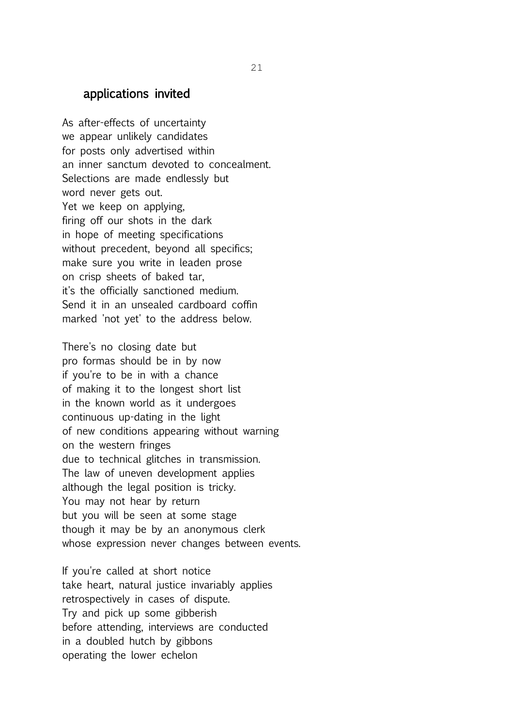#### applications invited

As after-effects of uncertainty we appear unlikely candidates for posts only advertised within an inner sanctum devoted to concealment. Selections are made endlessly but word never gets out. Yet we keep on applying, firing off our shots in the dark in hope of meeting specifications without precedent, beyond all specifics; make sure you write in leaden prose on crisp sheets of baked tar, it's the officially sanctioned medium. Send it in an unsealed cardboard coffin marked 'not yet' to the address below.

There's no closing date but pro formas should be in by now if you're to be in with a chance of making it to the longest short list in the known world as it undergoes continuous up-dating in the light of new conditions appearing without warning on the western fringes due to technical glitches in transmission. The law of uneven development applies although the legal position is tricky. You may not hear by return but you will be seen at some stage though it may be by an anonymous clerk whose expression never changes between events.

If you're called at short notice take heart, natural justice invariably applies retrospectively in cases of dispute. Try and pick up some gibberish before attending, interviews are conducted in a doubled hutch by gibbons operating the lower echelon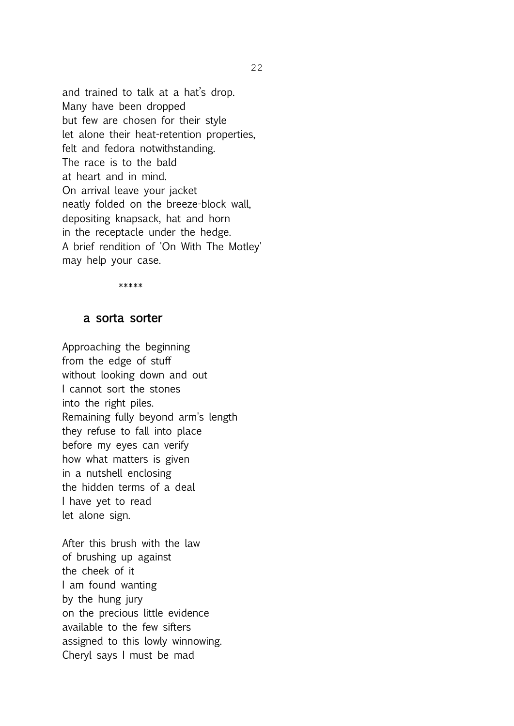and trained to talk at a hat's drop. Many have been dropped but few are chosen for their style let alone their heat-retention properties, felt and fedora notwithstanding. The race is to the bald at heart and in mind. On arrival leave your jacket neatly folded on the breeze-block wall, depositing knapsack, hat and horn in the receptacle under the hedge. A brief rendition of 'On With The Motley' may help your case.

\*\*\*\*\*

#### a sorta sorter

Approaching the beginning from the edge of stuff without looking down and out I cannot sort the stones into the right piles. Remaining fully beyond arm's length they refuse to fall into place before my eyes can verify how what matters is given in a nutshell enclosing the hidden terms of a deal I have yet to read let alone sign.

After this brush with the law of brushing up against the cheek of it I am found wanting by the hung jury on the precious little evidence available to the few sifters assigned to this lowly winnowing. Cheryl says I must be mad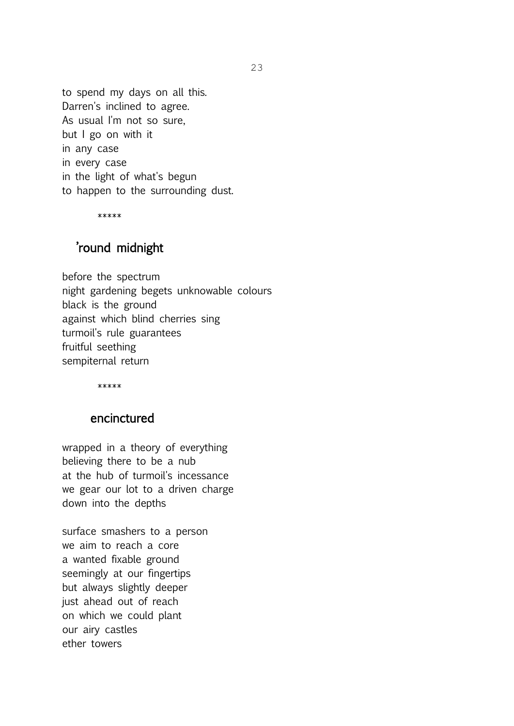to spend my days on all this. Darren's inclined to agree. As usual I'm not so sure, but I go on with it in any case in every case in the light of what's begun to happen to the surrounding dust.

\*\*\*\*\*

# 'round midnight

before the spectrum night gardening begets unknowable colours black is the ground against which blind cherries sing turmoil's rule guarantees fruitful seething sempiternal return

\*\*\*\*\*

#### encinctured

wrapped in a theory of everything believing there to be a nub at the hub of turmoil's incessance we gear our lot to a driven charge down into the depths

surface smashers to a person we aim to reach a core a wanted fixable ground seemingly at our fingertips but always slightly deeper just ahead out of reach on which we could plant our airy castles ether towers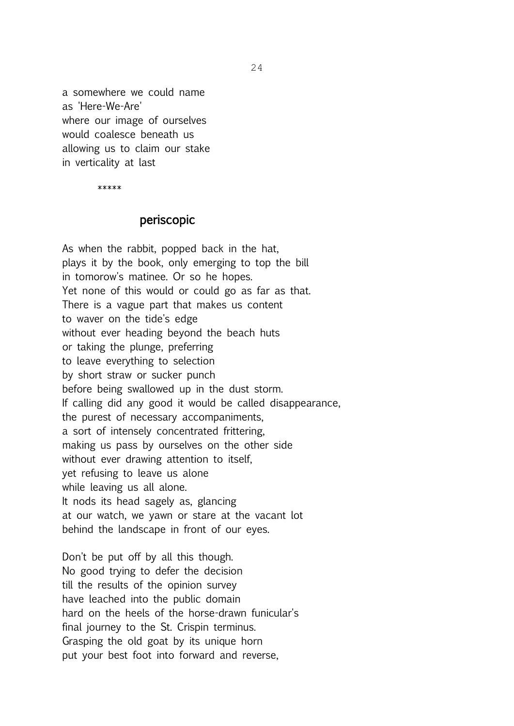a somewhere we could name as 'Here-We-Are' where our image of ourselves would coalesce beneath us allowing us to claim our stake in verticality at last

\*\*\*\*\*

## periscopic

As when the rabbit, popped back in the hat, plays it by the book, only emerging to top the bill in tomorow's matinee. Or so he hopes. Yet none of this would or could go as far as that. There is a vague part that makes us content to waver on the tide's edge without ever heading beyond the beach huts or taking the plunge, preferring to leave everything to selection by short straw or sucker punch before being swallowed up in the dust storm. If calling did any good it would be called disappearance, the purest of necessary accompaniments, a sort of intensely concentrated frittering, making us pass by ourselves on the other side without ever drawing attention to itself, yet refusing to leave us alone while leaving us all alone. It nods its head sagely as, glancing at our watch, we yawn or stare at the vacant lot behind the landscape in front of our eyes.

Don't be put off by all this though. No good trying to defer the decision till the results of the opinion survey have leached into the public domain hard on the heels of the horse-drawn funicular's final journey to the St. Crispin terminus. Grasping the old goat by its unique horn put your best foot into forward and reverse,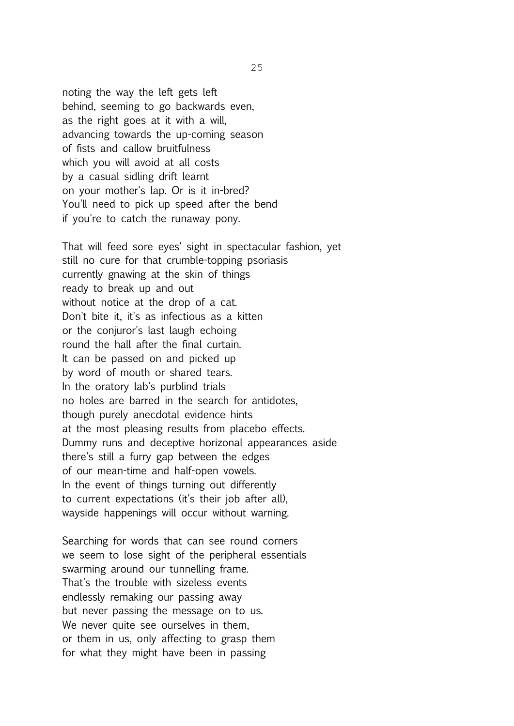noting the way the left gets left behind, seeming to go backwards even, as the right goes at it with a will, advancing towards the up-coming season of fists and callow bruitfulness which you will avoid at all costs by a casual sidling drift learnt on your mother's lap. Or is it in-bred? You'll need to pick up speed after the bend if you're to catch the runaway pony.

That will feed sore eyes' sight in spectacular fashion, yet still no cure for that crumble-topping psoriasis currently gnawing at the skin of things ready to break up and out without notice at the drop of a cat. Don't bite it, it's as infectious as a kitten or the conjuror's last laugh echoing round the hall after the final curtain. It can be passed on and picked up by word of mouth or shared tears. In the oratory lab's purblind trials no holes are barred in the search for antidotes, though purely anecdotal evidence hints at the most pleasing results from placebo effects. Dummy runs and deceptive horizonal appearances aside there's still a furry gap between the edges of our mean-time and half-open vowels. In the event of things turning out differently to current expectations (it's their job after all), wayside happenings will occur without warning.

Searching for words that can see round corners we seem to lose sight of the peripheral essentials swarming around our tunnelling frame. That's the trouble with sizeless events endlessly remaking our passing away but never passing the message on to us. We never quite see ourselves in them, or them in us, only affecting to grasp them for what they might have been in passing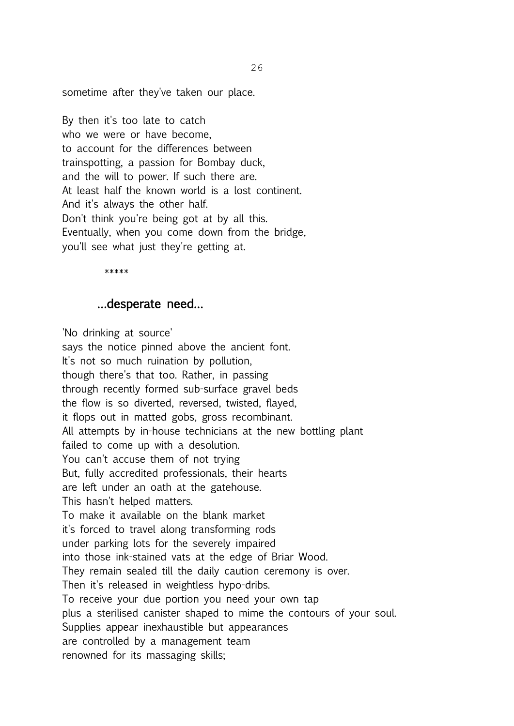sometime after they've taken our place.

By then it's too late to catch who we were or have become, to account for the differences between trainspotting, a passion for Bombay duck, and the will to power. If such there are. At least half the known world is a lost continent. And it's always the other half. Don't think you're being got at by all this. Eventually, when you come down from the bridge, you'll see what just they're getting at.

\*\*\*\*\*

#### …desperate need…

'No drinking at source' says the notice pinned above the ancient font. It's not so much ruination by pollution, though there's that too. Rather, in passing through recently formed sub-surface gravel beds the flow is so diverted, reversed, twisted, flayed, it flops out in matted gobs, gross recombinant. All attempts by in-house technicians at the new bottling plant failed to come up with a desolution. You can't accuse them of not trying But, fully accredited professionals, their hearts are left under an oath at the gatehouse. This hasn't helped matters. To make it available on the blank market it's forced to travel along transforming rods under parking lots for the severely impaired into those ink-stained vats at the edge of Briar Wood. They remain sealed till the daily caution ceremony is over. Then it's released in weightless hypo-dribs. To receive your due portion you need your own tap plus a sterilised canister shaped to mime the contours of your soul. Supplies appear inexhaustible but appearances are controlled by a management team renowned for its massaging skills;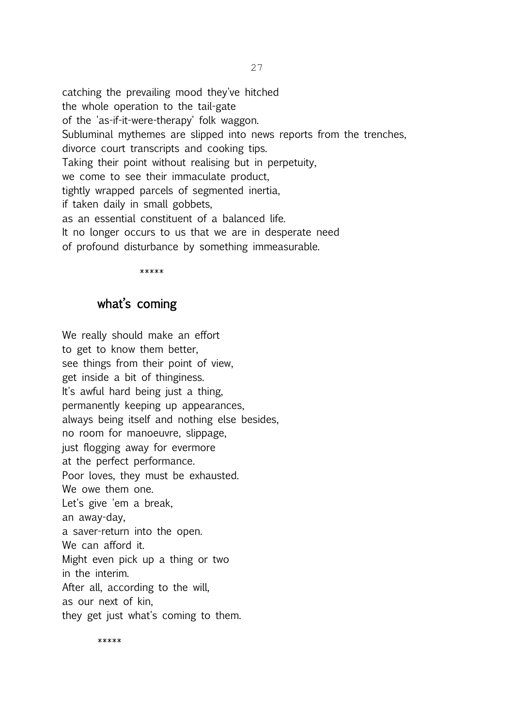catching the prevailing mood they've hitched the whole operation to the tail-gate of the 'as-if-it-were-therapy' folk waggon. Subluminal mythemes are slipped into news reports from the trenches, divorce court transcripts and cooking tips. Taking their point without realising but in perpetuity, we come to see their immaculate product, tightly wrapped parcels of segmented inertia, if taken daily in small gobbets, as an essential constituent of a balanced life. It no longer occurs to us that we are in desperate need of profound disturbance by something immeasurable.

\*\*\*\*\*\*

# what's coming

We really should make an effort to get to know them better, see things from their point of view, get inside a bit of thinginess. It's awful hard being just a thing, permanently keeping up appearances, always being itself and nothing else besides, no room for manoeuvre, slippage, just flogging away for evermore at the perfect performance. Poor loves, they must be exhausted. We owe them one. Let's give 'em a break, an away-day, a saver-return into the open. We can afford it. Might even pick up a thing or two in the interim. After all, according to the will, as our next of kin, they get just what's coming to them.

\*\*\*\*\*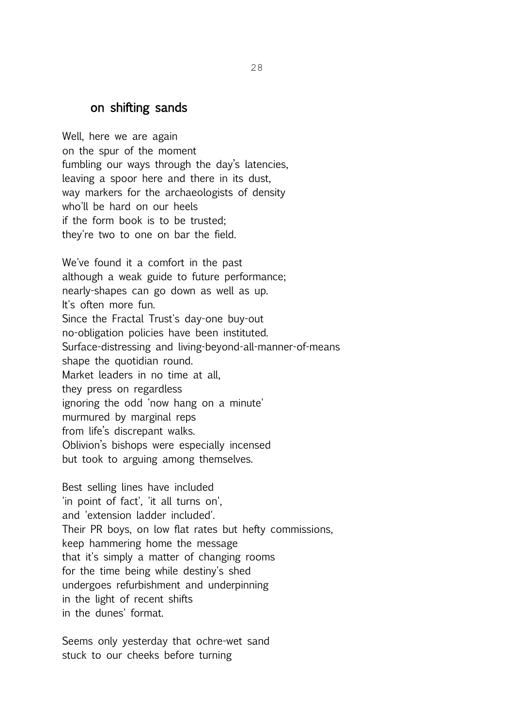#### on shifting sands

Well, here we are again on the spur of the moment fumbling our ways through the day's latencies, leaving a spoor here and there in its dust, way markers for the archaeologists of density who'll be hard on our heels if the form book is to be trusted; they're two to one on bar the field.

We've found it a comfort in the past although a weak guide to future performance; nearly-shapes can go down as well as up. It's often more fun. Since the Fractal Trust's day-one buy-out no-obligation policies have been instituted. Surface-distressing and living-beyond-all-manner-of-means shape the quotidian round. Market leaders in no time at all, they press on regardless ignoring the odd 'now hang on a minute' murmured by marginal reps from life's discrepant walks. Oblivion's bishops were especially incensed but took to arguing among themselves.

Best selling lines have included 'in point of fact', 'it all turns on', and 'extension ladder included'. Their PR boys, on low flat rates but hefty commissions, keep hammering home the message that it's simply a matter of changing rooms for the time being while destiny's shed undergoes refurbishment and underpinning in the light of recent shifts in the dunes' format.

Seems only yesterday that ochre-wet sand stuck to our cheeks before turning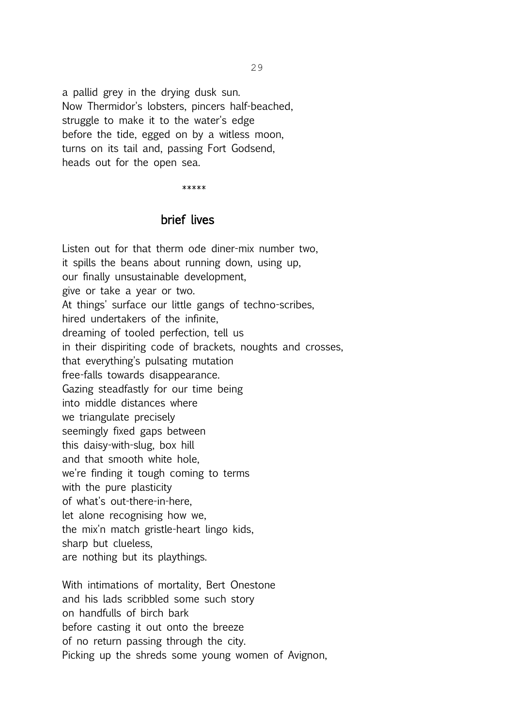a pallid grey in the drying dusk sun. Now Thermidor's lobsters, pincers half-beached, struggle to make it to the water's edge before the tide, egged on by a witless moon, turns on its tail and, passing Fort Godsend, heads out for the open sea.

\*\*\*\*\*\*

#### brief lives

Listen out for that therm ode diner-mix number two, it spills the beans about running down, using up, our finally unsustainable development, give or take a year or two. At things' surface our little gangs of techno-scribes, hired undertakers of the infinite, dreaming of tooled perfection, tell us in their dispiriting code of brackets, noughts and crosses, that everything's pulsating mutation free-falls towards disappearance. Gazing steadfastly for our time being into middle distances where we triangulate precisely seemingly fixed gaps between this daisy-with-slug, box hill and that smooth white hole, we're finding it tough coming to terms with the pure plasticity of what's out-there-in-here, let alone recognising how we, the mix'n match gristle-heart lingo kids, sharp but clueless, are nothing but its playthings. With intimations of mortality, Bert Onestone

and his lads scribbled some such story on handfulls of birch bark before casting it out onto the breeze of no return passing through the city. Picking up the shreds some young women of Avignon,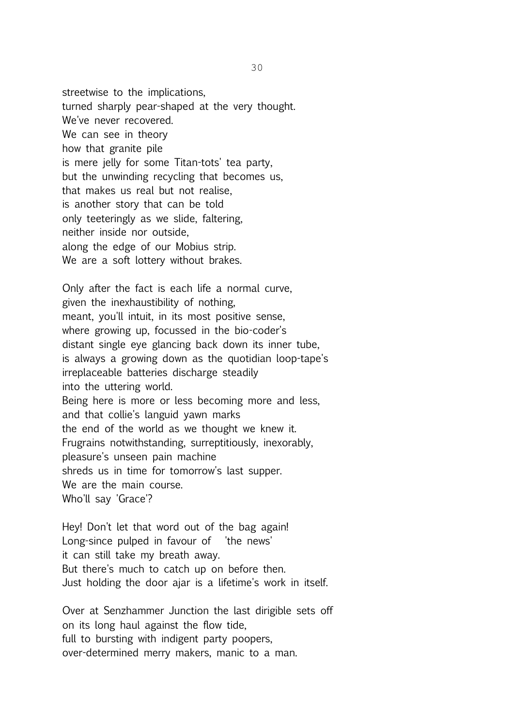streetwise to the implications, turned sharply pear-shaped at the very thought. We've never recovered. We can see in theory how that granite pile is mere jelly for some Titan-tots' tea party, but the unwinding recycling that becomes us, that makes us real but not realise, is another story that can be told only teeteringly as we slide, faltering, neither inside nor outside, along the edge of our Mobius strip. We are a soft lottery without brakes.

Only after the fact is each life a normal curve, given the inexhaustibility of nothing, meant, you'll intuit, in its most positive sense, where growing up, focussed in the bio-coder's distant single eye glancing back down its inner tube, is always a growing down as the quotidian loop-tape's irreplaceable batteries discharge steadily into the uttering world. Being here is more or less becoming more and less, and that collie's languid yawn marks the end of the world as we thought we knew it. Frugrains notwithstanding, surreptitiously, inexorably, pleasure's unseen pain machine shreds us in time for tomorrow's last supper. We are the main course. Who'll say 'Grace'?

Hey! Don't let that word out of the bag again! Long-since pulped in favour of 'the news' it can still take my breath away. But there's much to catch up on before then. Just holding the door ajar is a lifetime's work in itself.

Over at Senzhammer Junction the last dirigible sets off on its long haul against the flow tide, full to bursting with indigent party poopers, over-determined merry makers, manic to a man.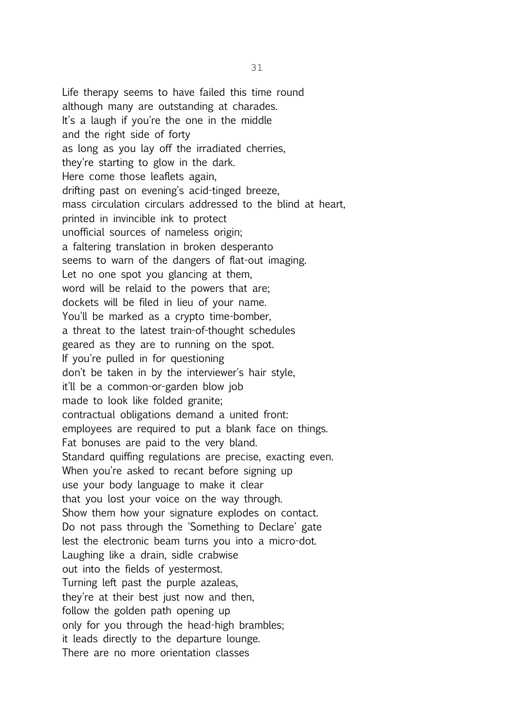Life therapy seems to have failed this time round although many are outstanding at charades. It's a laugh if you're the one in the middle and the right side of forty as long as you lay off the irradiated cherries, they're starting to glow in the dark. Here come those leaflets again, drifting past on evening's acid-tinged breeze, mass circulation circulars addressed to the blind at heart, printed in invincible ink to protect unofficial sources of nameless origin; a faltering translation in broken desperanto seems to warn of the dangers of flat-out imaging. Let no one spot you glancing at them, word will be relaid to the powers that are; dockets will be filed in lieu of your name. You'll be marked as a crypto time-bomber, a threat to the latest train-of-thought schedules geared as they are to running on the spot. If you're pulled in for questioning don't be taken in by the interviewer's hair style, it'll be a common-or-garden blow job made to look like folded granite; contractual obligations demand a united front: employees are required to put a blank face on things. Fat bonuses are paid to the very bland. Standard quiffing regulations are precise, exacting even. When you're asked to recant before signing up use your body language to make it clear that you lost your voice on the way through. Show them how your signature explodes on contact. Do not pass through the 'Something to Declare' gate lest the electronic beam turns you into a micro-dot. Laughing like a drain, sidle crabwise out into the fields of yestermost. Turning left past the purple azaleas, they're at their best just now and then, follow the golden path opening up only for you through the head-high brambles; it leads directly to the departure lounge. There are no more orientation classes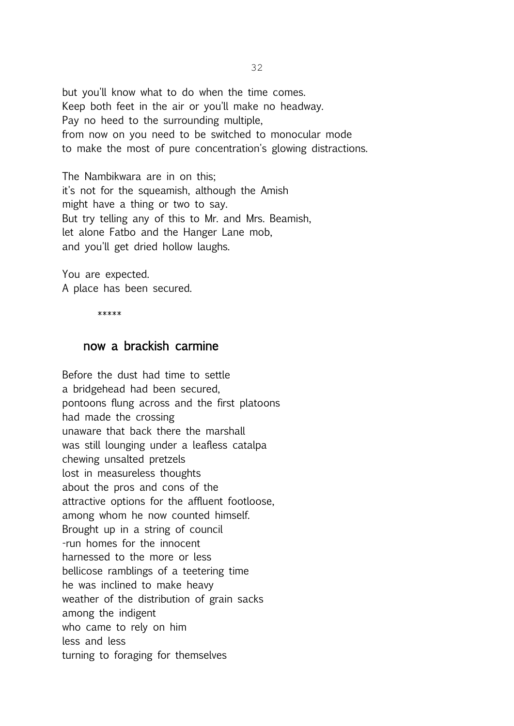but you'll know what to do when the time comes. Keep both feet in the air or you'll make no headway. Pay no heed to the surrounding multiple, from now on you need to be switched to monocular mode to make the most of pure concentration's glowing distractions.

The Nambikwara are in on this; it's not for the squeamish, although the Amish might have a thing or two to say. But try telling any of this to Mr. and Mrs. Beamish, let alone Fatbo and the Hanger Lane mob, and you'll get dried hollow laughs.

You are expected. A place has been secured.

\*\*\*\*\*

### now a brackish carmine

Before the dust had time to settle a bridgehead had been secured, pontoons flung across and the first platoons had made the crossing unaware that back there the marshall was still lounging under a leafless catalpa chewing unsalted pretzels lost in measureless thoughts about the pros and cons of the attractive options for the affluent footloose, among whom he now counted himself. Brought up in a string of council -run homes for the innocent harnessed to the more or less bellicose ramblings of a teetering time he was inclined to make heavy weather of the distribution of grain sacks among the indigent who came to rely on him less and less turning to foraging for themselves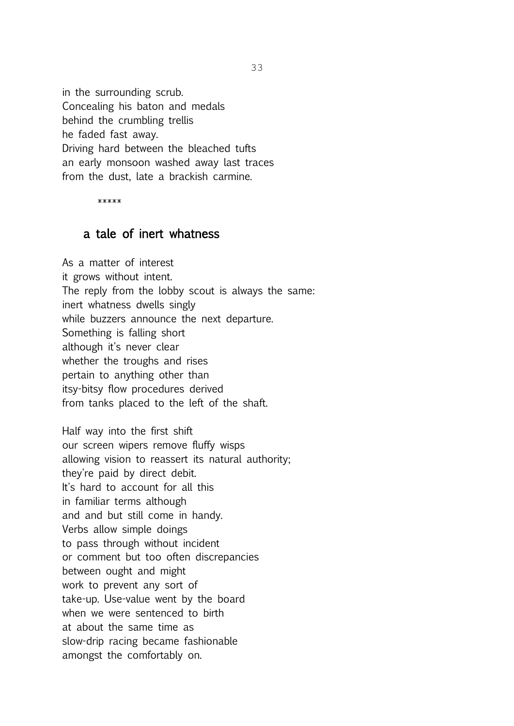in the surrounding scrub. Concealing his baton and medals behind the crumbling trellis he faded fast away. Driving hard between the bleached tufts an early monsoon washed away last traces from the dust, late a brackish carmine.

\*\*\*\*\*

# a tale of inert whatness

As a matter of interest it grows without intent. The reply from the lobby scout is always the same: inert whatness dwells singly while buzzers announce the next departure. Something is falling short although it's never clear whether the troughs and rises pertain to anything other than itsy-bitsy flow procedures derived from tanks placed to the left of the shaft.

Half way into the first shift our screen wipers remove fluffy wisps allowing vision to reassert its natural authority; they're paid by direct debit. It's hard to account for all this in familiar terms although and and but still come in handy. Verbs allow simple doings to pass through without incident or comment but too often discrepancies between ought and might work to prevent any sort of take-up. Use-value went by the board when we were sentenced to birth at about the same time as slow-drip racing became fashionable amongst the comfortably on.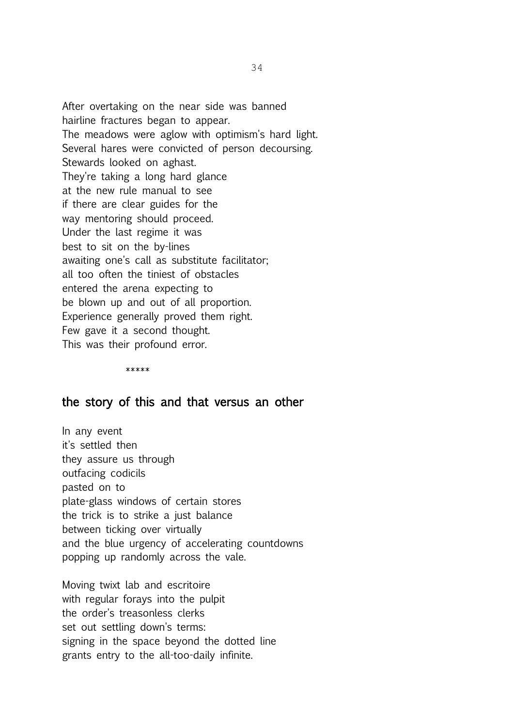After overtaking on the near side was banned hairline fractures began to appear. The meadows were aglow with optimism's hard light. Several hares were convicted of person decoursing. Stewards looked on aghast. They're taking a long hard glance at the new rule manual to see if there are clear guides for the way mentoring should proceed. Under the last regime it was best to sit on the by-lines awaiting one's call as substitute facilitator; all too often the tiniest of obstacles entered the arena expecting to be blown up and out of all proportion. Experience generally proved them right. Few gave it a second thought. This was their profound error.

#### \*\*\*\*\*

# the story of this and that versus an other

In any event it's settled then they assure us through outfacing codicils pasted on to plate-glass windows of certain stores the trick is to strike a just balance between ticking over virtually and the blue urgency of accelerating countdowns popping up randomly across the vale.

Moving twixt lab and escritoire with regular forays into the pulpit the order's treasonless clerks set out settling down's terms: signing in the space beyond the dotted line grants entry to the all-too-daily infinite.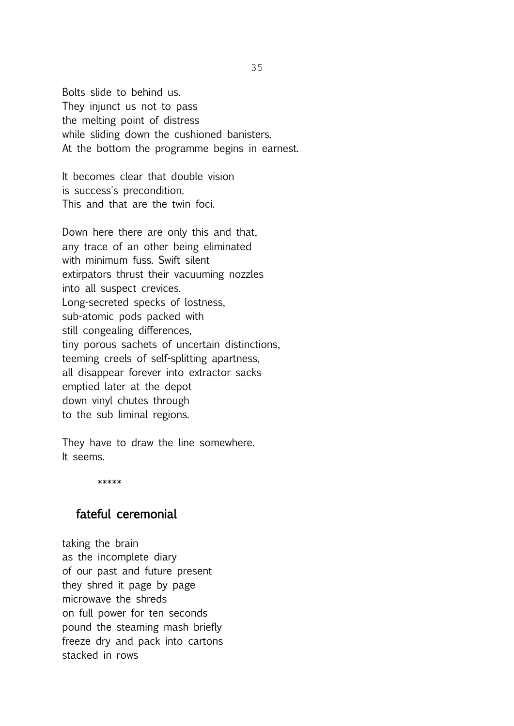Bolts slide to behind us. They injunct us not to pass the melting point of distress while sliding down the cushioned banisters. At the bottom the programme begins in earnest.

It becomes clear that double vision is success's precondition. This and that are the twin foci.

Down here there are only this and that, any trace of an other being eliminated with minimum fuss. Swift silent extirpators thrust their vacuuming nozzles into all suspect crevices. Long-secreted specks of lostness, sub-atomic pods packed with still congealing differences, tiny porous sachets of uncertain distinctions, teeming creels of self-splitting apartness, all disappear forever into extractor sacks emptied later at the depot down vinyl chutes through to the sub liminal regions.

They have to draw the line somewhere. It seems.

\*\*\*\*\*

# fateful ceremonial

taking the brain as the incomplete diary of our past and future present they shred it page by page microwave the shreds on full power for ten seconds pound the steaming mash briefly freeze dry and pack into cartons stacked in rows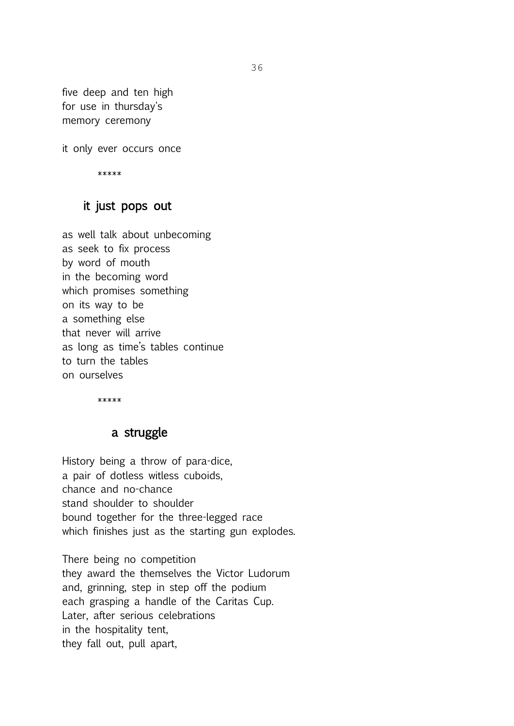five deep and ten high for use in thursday's memory ceremony

it only ever occurs once

\*\*\*\*\*

# it just pops out

as well talk about unbecoming as seek to fix process by word of mouth in the becoming word which promises something on its way to be a something else that never will arrive as long as time's tables continue to turn the tables on ourselves

\*\*\*\*\*

# a struggle

History being a throw of para-dice, a pair of dotless witless cuboids, chance and no-chance stand shoulder to shoulder bound together for the three-legged race which finishes just as the starting gun explodes.

There being no competition they award the themselves the Victor Ludorum and, grinning, step in step off the podium each grasping a handle of the Caritas Cup. Later, after serious celebrations in the hospitality tent, they fall out, pull apart,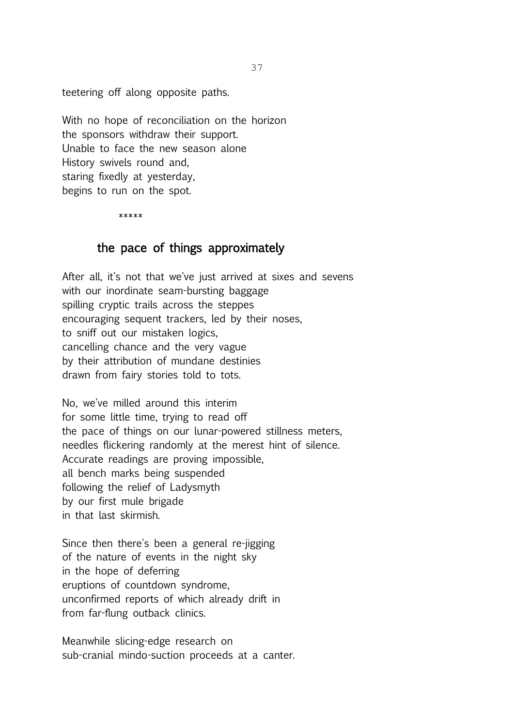teetering off along opposite paths.

With no hope of reconciliation on the horizon the sponsors withdraw their support. Unable to face the new season alone History swivels round and, staring fixedly at yesterday, begins to run on the spot.

\*\*\*\*\*

#### the pace of things approximately

After all, it's not that we've just arrived at sixes and sevens with our inordinate seam-bursting baggage spilling cryptic trails across the steppes encouraging sequent trackers, led by their noses, to sniff out our mistaken logics, cancelling chance and the very vague by their attribution of mundane destinies drawn from fairy stories told to tots.

No, we've milled around this interim for some little time, trying to read off the pace of things on our lunar-powered stillness meters, needles flickering randomly at the merest hint of silence. Accurate readings are proving impossible, all bench marks being suspended following the relief of Ladysmyth by our first mule brigade in that last skirmish.

Since then there's been a general re-jigging of the nature of events in the night sky in the hope of deferring eruptions of countdown syndrome, unconfirmed reports of which already drift in from far-flung outback clinics.

Meanwhile slicing-edge research on sub-cranial mindo-suction proceeds at a canter.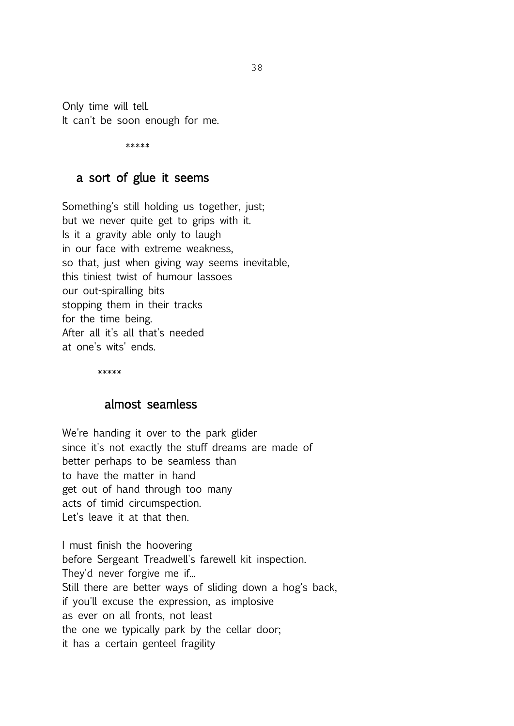Only time will tell. It can't be soon enough for me.

\*\*\*\*\*

### a sort of glue it seems

Something's still holding us together, just; but we never quite get to grips with it. Is it a gravity able only to laugh in our face with extreme weakness, so that, just when giving way seems inevitable, this tiniest twist of humour lassoes our out-spiralling bits stopping them in their tracks for the time being. After all it's all that's needed at one's wits' ends.

\*\*\*\*\*

#### almost seamless

We're handing it over to the park glider since it's not exactly the stuff dreams are made of better perhaps to be seamless than to have the matter in hand get out of hand through too many acts of timid circumspection. Let's leave it at that then.

I must finish the hoovering before Sergeant Treadwell's farewell kit inspection. They'd never forgive me if... Still there are better ways of sliding down a hog's back, if you'll excuse the expression, as implosive as ever on all fronts, not least the one we typically park by the cellar door; it has a certain genteel fragility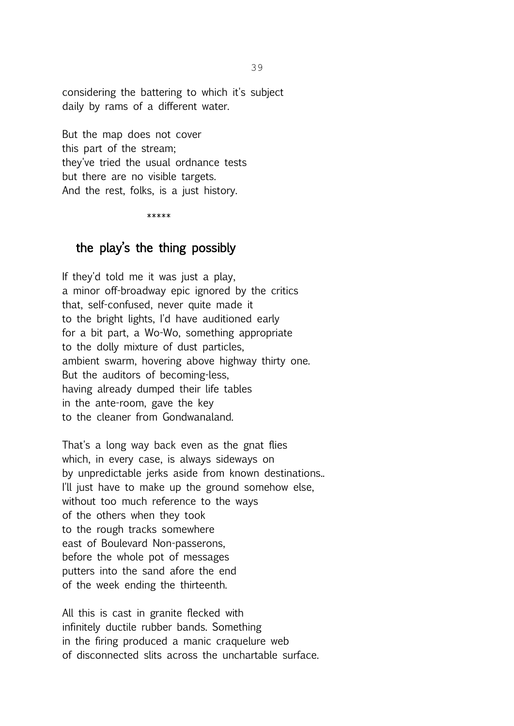considering the battering to which it's subject daily by rams of a different water.

But the map does not cover this part of the stream; they've tried the usual ordnance tests but there are no visible targets. And the rest, folks, is a just history.

\*\*\*\*\*\*

# the play's the thing possibly

If they'd told me it was just a play, a minor off-broadway epic ignored by the critics that, self-confused, never quite made it to the bright lights, I'd have auditioned early for a bit part, a Wo-Wo, something appropriate to the dolly mixture of dust particles, ambient swarm, hovering above highway thirty one. But the auditors of becoming-less, having already dumped their life tables in the ante-room, gave the key to the cleaner from Gondwanaland.

That's a long way back even as the gnat flies which, in every case, is always sideways on by unpredictable jerks aside from known destinations.. I'll just have to make up the ground somehow else, without too much reference to the ways of the others when they took to the rough tracks somewhere east of Boulevard Non-passerons, before the whole pot of messages putters into the sand afore the end of the week ending the thirteenth.

All this is cast in granite flecked with infinitely ductile rubber bands. Something in the firing produced a manic craquelure web of disconnected slits across the unchartable surface.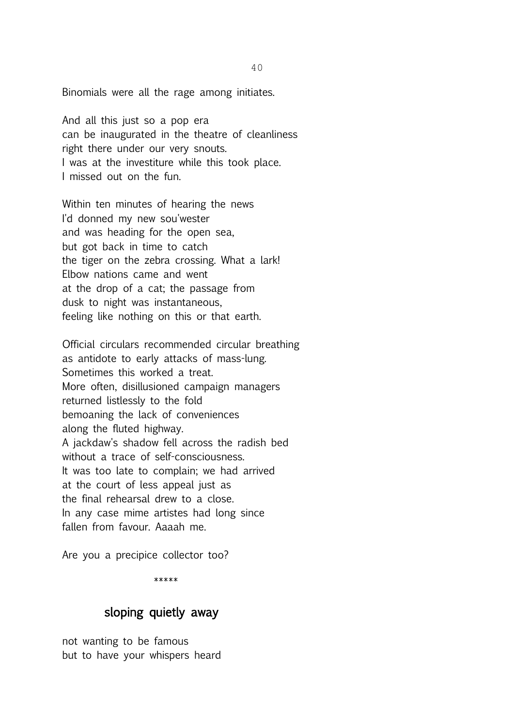Binomials were all the rage among initiates.

And all this just so a pop era can be inaugurated in the theatre of cleanliness right there under our very snouts. I was at the investiture while this took place. I missed out on the fun.

Within ten minutes of hearing the news I'd donned my new sou'wester and was heading for the open sea, but got back in time to catch the tiger on the zebra crossing. What a lark! Elbow nations came and went at the drop of a cat; the passage from dusk to night was instantaneous, feeling like nothing on this or that earth.

Official circulars recommended circular breathing as antidote to early attacks of mass-lung. Sometimes this worked a treat. More often, disillusioned campaign managers returned listlessly to the fold bemoaning the lack of conveniences along the fluted highway. A jackdaw's shadow fell across the radish bed without a trace of self-consciousness. It was too late to complain; we had arrived at the court of less appeal just as the final rehearsal drew to a close. In any case mime artistes had long since fallen from favour. Aaaah me.

Are you a precipice collector too?

\*\*\*\*\*\*

#### sloping quietly away

not wanting to be famous but to have your whispers heard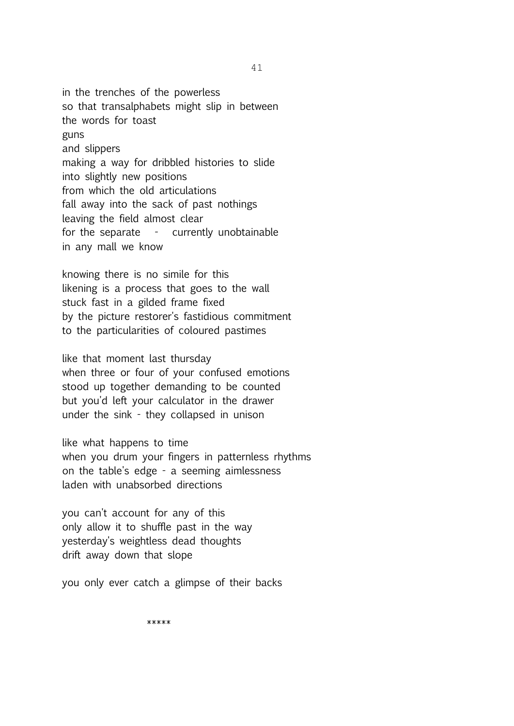in the trenches of the powerless so that transalphabets might slip in between the words for toast guns and slippers making a way for dribbled histories to slide into slightly new positions from which the old articulations fall away into the sack of past nothings leaving the field almost clear for the separate - currently unobtainable in any mall we know

knowing there is no simile for this likening is a process that goes to the wall stuck fast in a gilded frame fixed by the picture restorer's fastidious commitment to the particularities of coloured pastimes

like that moment last thursday when three or four of your confused emotions stood up together demanding to be counted but you'd left your calculator in the drawer under the sink - they collapsed in unison

like what happens to time when you drum your fingers in patternless rhythms on the table's edge - a seeming aimlessness laden with unabsorbed directions

you can't account for any of this only allow it to shuffle past in the way yesterday's weightless dead thoughts drift away down that slope

you only ever catch a glimpse of their backs

\*\*\*\*\*\*